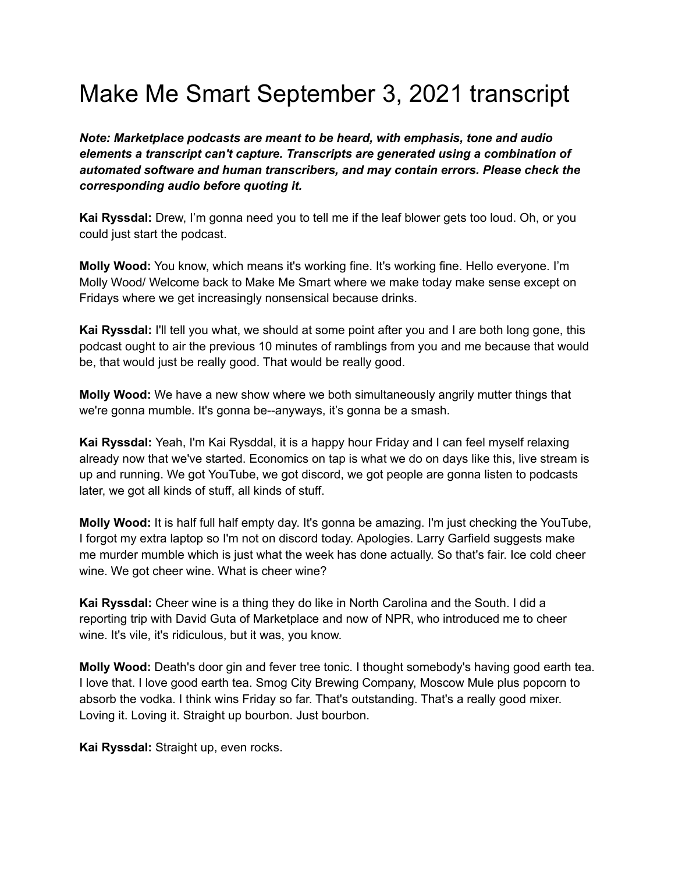## Make Me Smart September 3, 2021 transcript

*Note: Marketplace podcasts are meant to be heard, with emphasis, tone and audio elements a transcript can't capture. Transcripts are generated using a combination of automated software and human transcribers, and may contain errors. Please check the corresponding audio before quoting it.*

**Kai Ryssdal:** Drew, I'm gonna need you to tell me if the leaf blower gets too loud. Oh, or you could just start the podcast.

**Molly Wood:** You know, which means it's working fine. It's working fine. Hello everyone. I'm Molly Wood/ Welcome back to Make Me Smart where we make today make sense except on Fridays where we get increasingly nonsensical because drinks.

**Kai Ryssdal:** I'll tell you what, we should at some point after you and I are both long gone, this podcast ought to air the previous 10 minutes of ramblings from you and me because that would be, that would just be really good. That would be really good.

**Molly Wood:** We have a new show where we both simultaneously angrily mutter things that we're gonna mumble. It's gonna be--anyways, it's gonna be a smash.

**Kai Ryssdal:** Yeah, I'm Kai Rysddal, it is a happy hour Friday and I can feel myself relaxing already now that we've started. Economics on tap is what we do on days like this, live stream is up and running. We got YouTube, we got discord, we got people are gonna listen to podcasts later, we got all kinds of stuff, all kinds of stuff.

**Molly Wood:** It is half full half empty day. It's gonna be amazing. I'm just checking the YouTube, I forgot my extra laptop so I'm not on discord today. Apologies. Larry Garfield suggests make me murder mumble which is just what the week has done actually. So that's fair. Ice cold cheer wine. We got cheer wine. What is cheer wine?

**Kai Ryssdal:** Cheer wine is a thing they do like in North Carolina and the South. I did a reporting trip with David Guta of Marketplace and now of NPR, who introduced me to cheer wine. It's vile, it's ridiculous, but it was, you know.

**Molly Wood:** Death's door gin and fever tree tonic. I thought somebody's having good earth tea. I love that. I love good earth tea. Smog City Brewing Company, Moscow Mule plus popcorn to absorb the vodka. I think wins Friday so far. That's outstanding. That's a really good mixer. Loving it. Loving it. Straight up bourbon. Just bourbon.

**Kai Ryssdal:** Straight up, even rocks.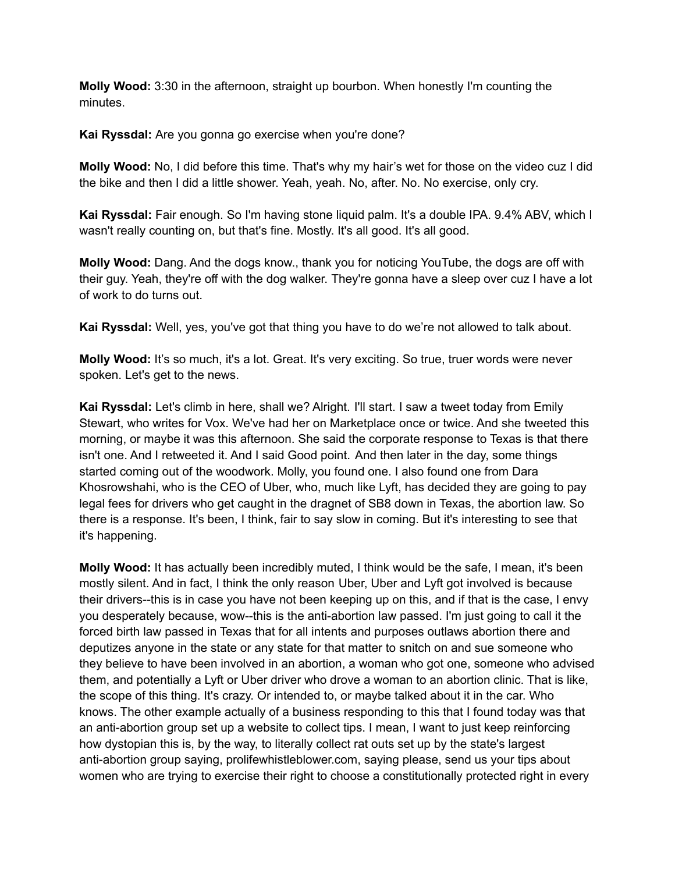**Molly Wood:** 3:30 in the afternoon, straight up bourbon. When honestly I'm counting the minutes.

**Kai Ryssdal:** Are you gonna go exercise when you're done?

**Molly Wood:** No, I did before this time. That's why my hair's wet for those on the video cuz I did the bike and then I did a little shower. Yeah, yeah. No, after. No. No exercise, only cry.

**Kai Ryssdal:** Fair enough. So I'm having stone liquid palm. It's a double IPA. 9.4% ABV, which I wasn't really counting on, but that's fine. Mostly. It's all good. It's all good.

**Molly Wood:** Dang. And the dogs know., thank you for noticing YouTube, the dogs are off with their guy. Yeah, they're off with the dog walker. They're gonna have a sleep over cuz I have a lot of work to do turns out.

**Kai Ryssdal:** Well, yes, you've got that thing you have to do we're not allowed to talk about.

**Molly Wood:** It's so much, it's a lot. Great. It's very exciting. So true, truer words were never spoken. Let's get to the news.

**Kai Ryssdal:** Let's climb in here, shall we? Alright. I'll start. I saw a tweet today from Emily Stewart, who writes for Vox. We've had her on Marketplace once or twice. And she tweeted this morning, or maybe it was this afternoon. She said the corporate response to Texas is that there isn't one. And I retweeted it. And I said Good point. And then later in the day, some things started coming out of the woodwork. Molly, you found one. I also found one from Dara Khosrowshahi, who is the CEO of Uber, who, much like Lyft, has decided they are going to pay legal fees for drivers who get caught in the dragnet of SB8 down in Texas, the abortion law. So there is a response. It's been, I think, fair to say slow in coming. But it's interesting to see that it's happening.

**Molly Wood:** It has actually been incredibly muted, I think would be the safe, I mean, it's been mostly silent. And in fact, I think the only reason Uber, Uber and Lyft got involved is because their drivers--this is in case you have not been keeping up on this, and if that is the case, I envy you desperately because, wow--this is the anti-abortion law passed. I'm just going to call it the forced birth law passed in Texas that for all intents and purposes outlaws abortion there and deputizes anyone in the state or any state for that matter to snitch on and sue someone who they believe to have been involved in an abortion, a woman who got one, someone who advised them, and potentially a Lyft or Uber driver who drove a woman to an abortion clinic. That is like, the scope of this thing. It's crazy. Or intended to, or maybe talked about it in the car. Who knows. The other example actually of a business responding to this that I found today was that an anti-abortion group set up a website to collect tips. I mean, I want to just keep reinforcing how dystopian this is, by the way, to literally collect rat outs set up by the state's largest anti-abortion group saying, prolifewhistleblower.com, saying please, send us your tips about women who are trying to exercise their right to choose a constitutionally protected right in every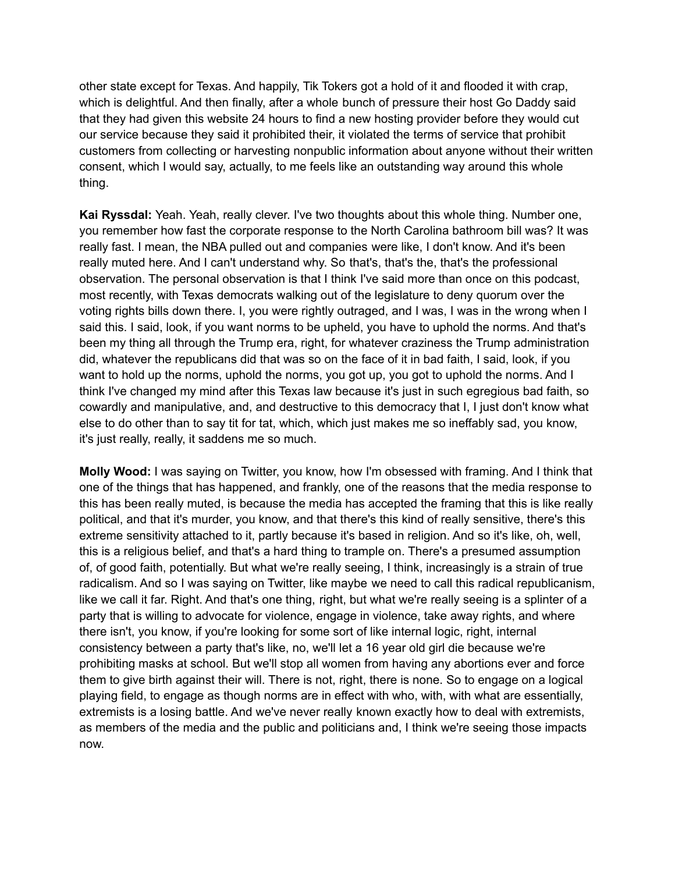other state except for Texas. And happily, Tik Tokers got a hold of it and flooded it with crap, which is delightful. And then finally, after a whole bunch of pressure their host Go Daddy said that they had given this website 24 hours to find a new hosting provider before they would cut our service because they said it prohibited their, it violated the terms of service that prohibit customers from collecting or harvesting nonpublic information about anyone without their written consent, which I would say, actually, to me feels like an outstanding way around this whole thing.

**Kai Ryssdal:** Yeah. Yeah, really clever. I've two thoughts about this whole thing. Number one, you remember how fast the corporate response to the North Carolina bathroom bill was? It was really fast. I mean, the NBA pulled out and companies were like, I don't know. And it's been really muted here. And I can't understand why. So that's, that's the, that's the professional observation. The personal observation is that I think I've said more than once on this podcast, most recently, with Texas democrats walking out of the legislature to deny quorum over the voting rights bills down there. I, you were rightly outraged, and I was, I was in the wrong when I said this. I said, look, if you want norms to be upheld, you have to uphold the norms. And that's been my thing all through the Trump era, right, for whatever craziness the Trump administration did, whatever the republicans did that was so on the face of it in bad faith, I said, look, if you want to hold up the norms, uphold the norms, you got up, you got to uphold the norms. And I think I've changed my mind after this Texas law because it's just in such egregious bad faith, so cowardly and manipulative, and, and destructive to this democracy that I, I just don't know what else to do other than to say tit for tat, which, which just makes me so ineffably sad, you know, it's just really, really, it saddens me so much.

**Molly Wood:** I was saying on Twitter, you know, how I'm obsessed with framing. And I think that one of the things that has happened, and frankly, one of the reasons that the media response to this has been really muted, is because the media has accepted the framing that this is like really political, and that it's murder, you know, and that there's this kind of really sensitive, there's this extreme sensitivity attached to it, partly because it's based in religion. And so it's like, oh, well, this is a religious belief, and that's a hard thing to trample on. There's a presumed assumption of, of good faith, potentially. But what we're really seeing, I think, increasingly is a strain of true radicalism. And so I was saying on Twitter, like maybe we need to call this radical republicanism, like we call it far. Right. And that's one thing, right, but what we're really seeing is a splinter of a party that is willing to advocate for violence, engage in violence, take away rights, and where there isn't, you know, if you're looking for some sort of like internal logic, right, internal consistency between a party that's like, no, we'll let a 16 year old girl die because we're prohibiting masks at school. But we'll stop all women from having any abortions ever and force them to give birth against their will. There is not, right, there is none. So to engage on a logical playing field, to engage as though norms are in effect with who, with, with what are essentially, extremists is a losing battle. And we've never really known exactly how to deal with extremists, as members of the media and the public and politicians and, I think we're seeing those impacts now.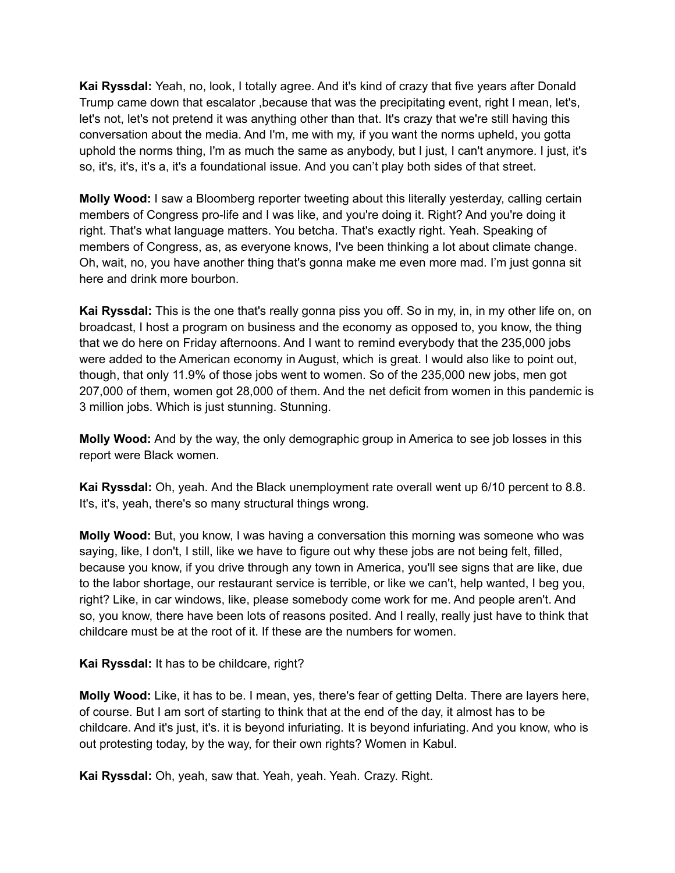**Kai Ryssdal:** Yeah, no, look, I totally agree. And it's kind of crazy that five years after Donald Trump came down that escalator ,because that was the precipitating event, right I mean, let's, let's not, let's not pretend it was anything other than that. It's crazy that we're still having this conversation about the media. And I'm, me with my, if you want the norms upheld, you gotta uphold the norms thing, I'm as much the same as anybody, but I just, I can't anymore. I just, it's so, it's, it's, it's a, it's a foundational issue. And you can't play both sides of that street.

**Molly Wood:** I saw a Bloomberg reporter tweeting about this literally yesterday, calling certain members of Congress pro-life and I was like, and you're doing it. Right? And you're doing it right. That's what language matters. You betcha. That's exactly right. Yeah. Speaking of members of Congress, as, as everyone knows, I've been thinking a lot about climate change. Oh, wait, no, you have another thing that's gonna make me even more mad. I'm just gonna sit here and drink more bourbon.

**Kai Ryssdal:** This is the one that's really gonna piss you off. So in my, in, in my other life on, on broadcast, I host a program on business and the economy as opposed to, you know, the thing that we do here on Friday afternoons. And I want to remind everybody that the 235,000 jobs were added to the American economy in August, which is great. I would also like to point out, though, that only 11.9% of those jobs went to women. So of the 235,000 new jobs, men got 207,000 of them, women got 28,000 of them. And the net deficit from women in this pandemic is 3 million jobs. Which is just stunning. Stunning.

**Molly Wood:** And by the way, the only demographic group in America to see job losses in this report were Black women.

**Kai Ryssdal:** Oh, yeah. And the Black unemployment rate overall went up 6/10 percent to 8.8. It's, it's, yeah, there's so many structural things wrong.

**Molly Wood:** But, you know, I was having a conversation this morning was someone who was saying, like, I don't, I still, like we have to figure out why these jobs are not being felt, filled, because you know, if you drive through any town in America, you'll see signs that are like, due to the labor shortage, our restaurant service is terrible, or like we can't, help wanted, I beg you, right? Like, in car windows, like, please somebody come work for me. And people aren't. And so, you know, there have been lots of reasons posited. And I really, really just have to think that childcare must be at the root of it. If these are the numbers for women.

**Kai Ryssdal:** It has to be childcare, right?

**Molly Wood:** Like, it has to be. I mean, yes, there's fear of getting Delta. There are layers here, of course. But I am sort of starting to think that at the end of the day, it almost has to be childcare. And it's just, it's. it is beyond infuriating. It is beyond infuriating. And you know, who is out protesting today, by the way, for their own rights? Women in Kabul.

**Kai Ryssdal:** Oh, yeah, saw that. Yeah, yeah. Yeah. Crazy. Right.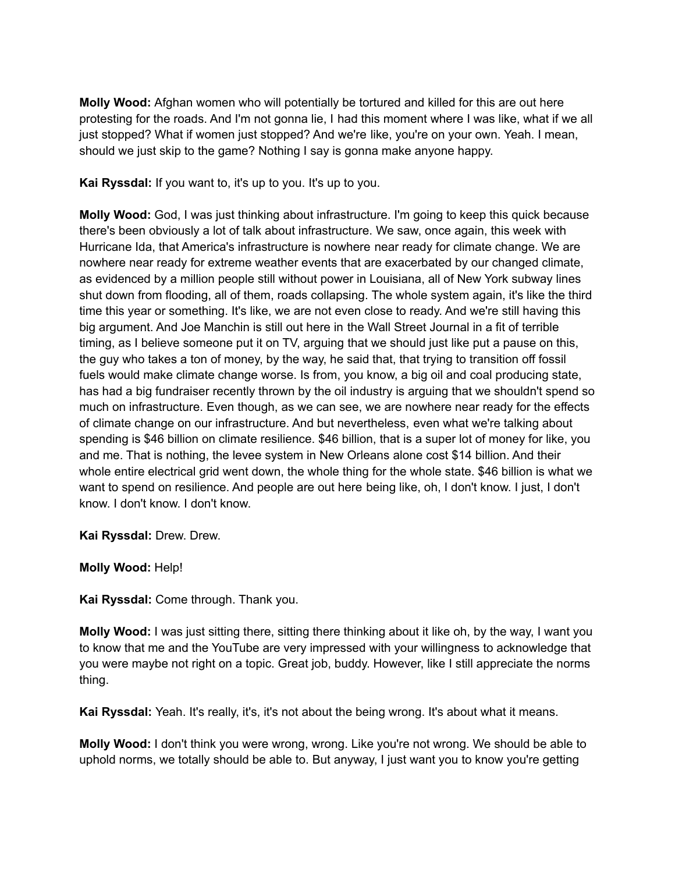**Molly Wood:** Afghan women who will potentially be tortured and killed for this are out here protesting for the roads. And I'm not gonna lie, I had this moment where I was like, what if we all just stopped? What if women just stopped? And we're like, you're on your own. Yeah. I mean, should we just skip to the game? Nothing I say is gonna make anyone happy.

**Kai Ryssdal:** If you want to, it's up to you. It's up to you.

**Molly Wood:** God, I was just thinking about infrastructure. I'm going to keep this quick because there's been obviously a lot of talk about infrastructure. We saw, once again, this week with Hurricane Ida, that America's infrastructure is nowhere near ready for climate change. We are nowhere near ready for extreme weather events that are exacerbated by our changed climate, as evidenced by a million people still without power in Louisiana, all of New York subway lines shut down from flooding, all of them, roads collapsing. The whole system again, it's like the third time this year or something. It's like, we are not even close to ready. And we're still having this big argument. And Joe Manchin is still out here in the Wall Street Journal in a fit of terrible timing, as I believe someone put it on TV, arguing that we should just like put a pause on this, the guy who takes a ton of money, by the way, he said that, that trying to transition off fossil fuels would make climate change worse. Is from, you know, a big oil and coal producing state, has had a big fundraiser recently thrown by the oil industry is arguing that we shouldn't spend so much on infrastructure. Even though, as we can see, we are nowhere near ready for the effects of climate change on our infrastructure. And but nevertheless, even what we're talking about spending is \$46 billion on climate resilience. \$46 billion, that is a super lot of money for like, you and me. That is nothing, the levee system in New Orleans alone cost \$14 billion. And their whole entire electrical grid went down, the whole thing for the whole state. \$46 billion is what we want to spend on resilience. And people are out here being like, oh, I don't know. I just, I don't know. I don't know. I don't know.

**Kai Ryssdal:** Drew. Drew.

**Molly Wood:** Help!

**Kai Ryssdal:** Come through. Thank you.

**Molly Wood:** I was just sitting there, sitting there thinking about it like oh, by the way, I want you to know that me and the YouTube are very impressed with your willingness to acknowledge that you were maybe not right on a topic. Great job, buddy. However, like I still appreciate the norms thing.

**Kai Ryssdal:** Yeah. It's really, it's, it's not about the being wrong. It's about what it means.

**Molly Wood:** I don't think you were wrong, wrong. Like you're not wrong. We should be able to uphold norms, we totally should be able to. But anyway, I just want you to know you're getting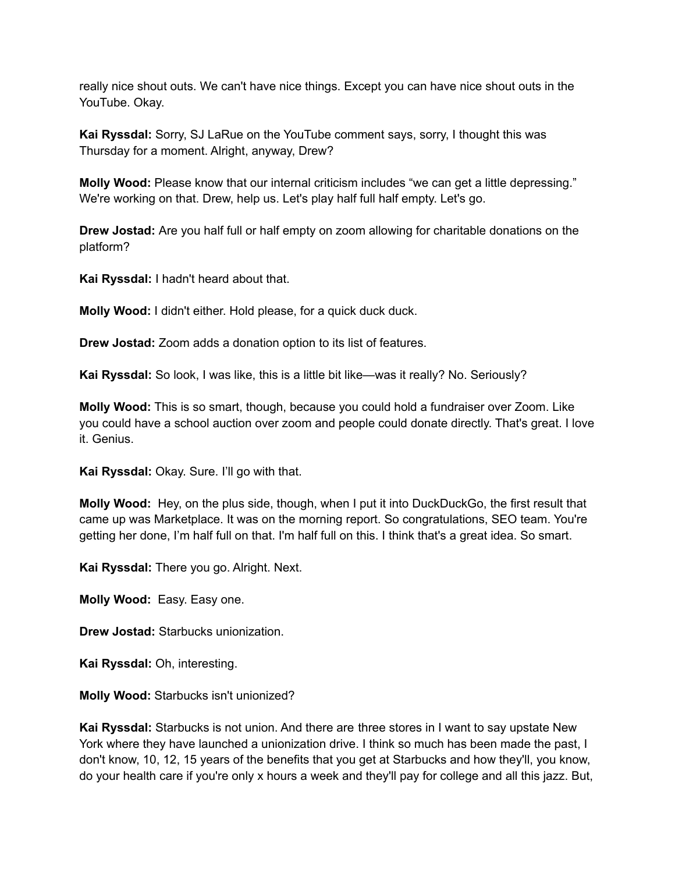really nice shout outs. We can't have nice things. Except you can have nice shout outs in the YouTube. Okay.

**Kai Ryssdal:** Sorry, SJ LaRue on the YouTube comment says, sorry, I thought this was Thursday for a moment. Alright, anyway, Drew?

**Molly Wood:** Please know that our internal criticism includes "we can get a little depressing." We're working on that. Drew, help us. Let's play half full half empty. Let's go.

**Drew Jostad:** Are you half full or half empty on zoom allowing for charitable donations on the platform?

**Kai Ryssdal:** I hadn't heard about that.

**Molly Wood:** I didn't either. Hold please, for a quick duck duck.

**Drew Jostad:** Zoom adds a donation option to its list of features.

**Kai Ryssdal:** So look, I was like, this is a little bit like—was it really? No. Seriously?

**Molly Wood:** This is so smart, though, because you could hold a fundraiser over Zoom. Like you could have a school auction over zoom and people could donate directly. That's great. I love it. Genius.

**Kai Ryssdal:** Okay. Sure. I'll go with that.

**Molly Wood:** Hey, on the plus side, though, when I put it into DuckDuckGo, the first result that came up was Marketplace. It was on the morning report. So congratulations, SEO team. You're getting her done, I'm half full on that. I'm half full on this. I think that's a great idea. So smart.

**Kai Ryssdal:** There you go. Alright. Next.

**Molly Wood:** Easy. Easy one.

**Drew Jostad:** Starbucks unionization.

**Kai Ryssdal:** Oh, interesting.

**Molly Wood:** Starbucks isn't unionized?

**Kai Ryssdal:** Starbucks is not union. And there are three stores in I want to say upstate New York where they have launched a unionization drive. I think so much has been made the past, I don't know, 10, 12, 15 years of the benefits that you get at Starbucks and how they'll, you know, do your health care if you're only x hours a week and they'll pay for college and all this jazz. But,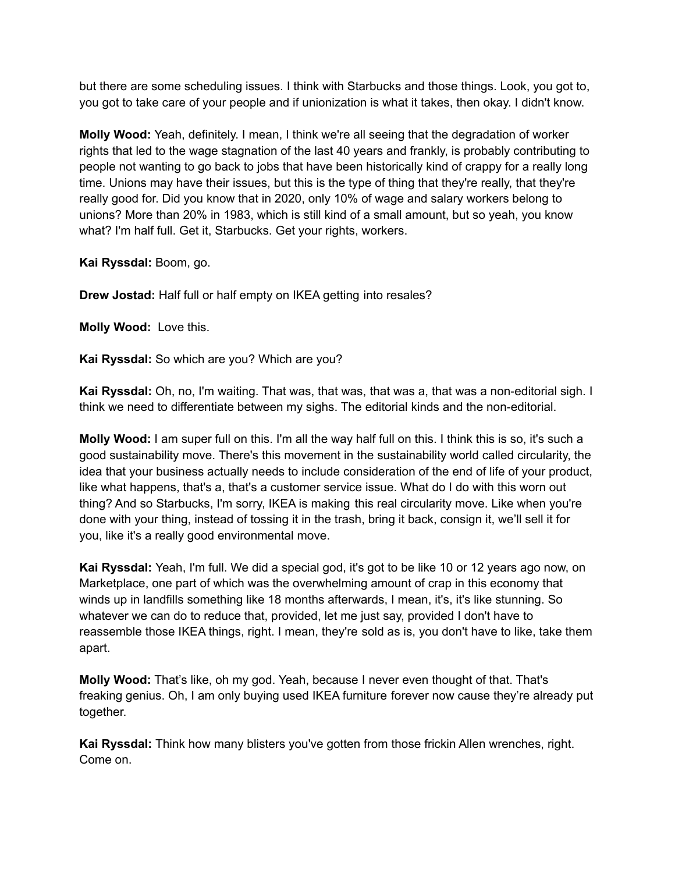but there are some scheduling issues. I think with Starbucks and those things. Look, you got to, you got to take care of your people and if unionization is what it takes, then okay. I didn't know.

**Molly Wood:** Yeah, definitely. I mean, I think we're all seeing that the degradation of worker rights that led to the wage stagnation of the last 40 years and frankly, is probably contributing to people not wanting to go back to jobs that have been historically kind of crappy for a really long time. Unions may have their issues, but this is the type of thing that they're really, that they're really good for. Did you know that in 2020, only 10% of wage and salary workers belong to unions? More than 20% in 1983, which is still kind of a small amount, but so yeah, you know what? I'm half full. Get it, Starbucks. Get your rights, workers.

**Kai Ryssdal:** Boom, go.

**Drew Jostad:** Half full or half empty on IKEA getting into resales?

**Molly Wood:** Love this.

**Kai Ryssdal:** So which are you? Which are you?

**Kai Ryssdal:** Oh, no, I'm waiting. That was, that was, that was a, that was a non-editorial sigh. I think we need to differentiate between my sighs. The editorial kinds and the non-editorial.

**Molly Wood:** I am super full on this. I'm all the way half full on this. I think this is so, it's such a good sustainability move. There's this movement in the sustainability world called circularity, the idea that your business actually needs to include consideration of the end of life of your product, like what happens, that's a, that's a customer service issue. What do I do with this worn out thing? And so Starbucks, I'm sorry, IKEA is making this real circularity move. Like when you're done with your thing, instead of tossing it in the trash, bring it back, consign it, we'll sell it for you, like it's a really good environmental move.

**Kai Ryssdal:** Yeah, I'm full. We did a special god, it's got to be like 10 or 12 years ago now, on Marketplace, one part of which was the overwhelming amount of crap in this economy that winds up in landfills something like 18 months afterwards, I mean, it's, it's like stunning. So whatever we can do to reduce that, provided, let me just say, provided I don't have to reassemble those IKEA things, right. I mean, they're sold as is, you don't have to like, take them apart.

**Molly Wood:** That's like, oh my god. Yeah, because I never even thought of that. That's freaking genius. Oh, I am only buying used IKEA furniture forever now cause they're already put together.

**Kai Ryssdal:** Think how many blisters you've gotten from those frickin Allen wrenches, right. Come on.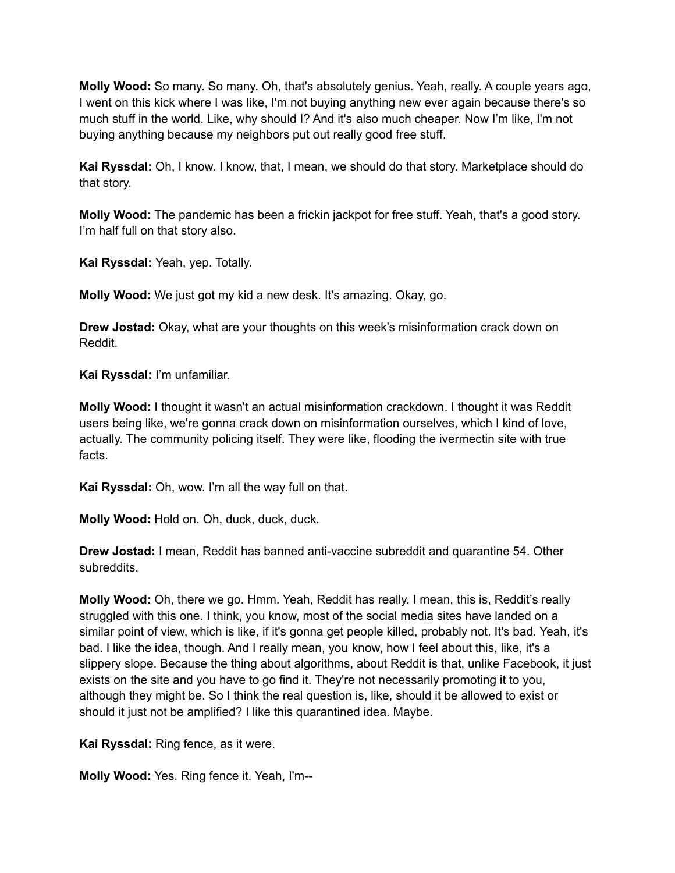**Molly Wood:** So many. So many. Oh, that's absolutely genius. Yeah, really. A couple years ago, I went on this kick where I was like, I'm not buying anything new ever again because there's so much stuff in the world. Like, why should I? And it's also much cheaper. Now I'm like, I'm not buying anything because my neighbors put out really good free stuff.

**Kai Ryssdal:** Oh, I know. I know, that, I mean, we should do that story. Marketplace should do that story.

**Molly Wood:** The pandemic has been a frickin jackpot for free stuff. Yeah, that's a good story. I'm half full on that story also.

**Kai Ryssdal:** Yeah, yep. Totally.

**Molly Wood:** We just got my kid a new desk. It's amazing. Okay, go.

**Drew Jostad:** Okay, what are your thoughts on this week's misinformation crack down on Reddit.

**Kai Ryssdal:** I'm unfamiliar.

**Molly Wood:** I thought it wasn't an actual misinformation crackdown. I thought it was Reddit users being like, we're gonna crack down on misinformation ourselves, which I kind of love, actually. The community policing itself. They were like, flooding the ivermectin site with true facts.

**Kai Ryssdal:** Oh, wow. I'm all the way full on that.

**Molly Wood:** Hold on. Oh, duck, duck, duck.

**Drew Jostad:** I mean, Reddit has banned anti-vaccine subreddit and quarantine 54. Other subreddits.

**Molly Wood:** Oh, there we go. Hmm. Yeah, Reddit has really, I mean, this is, Reddit's really struggled with this one. I think, you know, most of the social media sites have landed on a similar point of view, which is like, if it's gonna get people killed, probably not. It's bad. Yeah, it's bad. I like the idea, though. And I really mean, you know, how I feel about this, like, it's a slippery slope. Because the thing about algorithms, about Reddit is that, unlike Facebook, it just exists on the site and you have to go find it. They're not necessarily promoting it to you, although they might be. So I think the real question is, like, should it be allowed to exist or should it just not be amplified? I like this quarantined idea. Maybe.

**Kai Ryssdal:** Ring fence, as it were.

**Molly Wood:** Yes. Ring fence it. Yeah, I'm--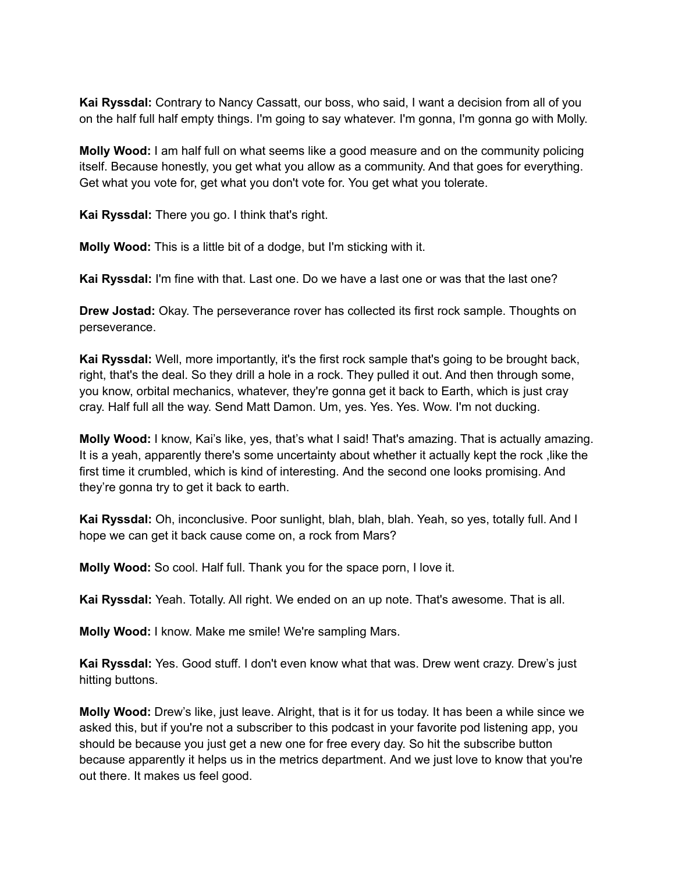**Kai Ryssdal:** Contrary to Nancy Cassatt, our boss, who said, I want a decision from all of you on the half full half empty things. I'm going to say whatever. I'm gonna, I'm gonna go with Molly.

**Molly Wood:** I am half full on what seems like a good measure and on the community policing itself. Because honestly, you get what you allow as a community. And that goes for everything. Get what you vote for, get what you don't vote for. You get what you tolerate.

**Kai Ryssdal:** There you go. I think that's right.

**Molly Wood:** This is a little bit of a dodge, but I'm sticking with it.

**Kai Ryssdal:** I'm fine with that. Last one. Do we have a last one or was that the last one?

**Drew Jostad:** Okay. The perseverance rover has collected its first rock sample. Thoughts on perseverance.

**Kai Ryssdal:** Well, more importantly, it's the first rock sample that's going to be brought back, right, that's the deal. So they drill a hole in a rock. They pulled it out. And then through some, you know, orbital mechanics, whatever, they're gonna get it back to Earth, which is just cray cray. Half full all the way. Send Matt Damon. Um, yes. Yes. Yes. Wow. I'm not ducking.

**Molly Wood:** I know, Kai's like, yes, that's what I said! That's amazing. That is actually amazing. It is a yeah, apparently there's some uncertainty about whether it actually kept the rock ,like the first time it crumbled, which is kind of interesting. And the second one looks promising. And they're gonna try to get it back to earth.

**Kai Ryssdal:** Oh, inconclusive. Poor sunlight, blah, blah, blah. Yeah, so yes, totally full. And I hope we can get it back cause come on, a rock from Mars?

**Molly Wood:** So cool. Half full. Thank you for the space porn, I love it.

**Kai Ryssdal:** Yeah. Totally. All right. We ended on an up note. That's awesome. That is all.

**Molly Wood:** I know. Make me smile! We're sampling Mars.

**Kai Ryssdal:** Yes. Good stuff. I don't even know what that was. Drew went crazy. Drew's just hitting buttons.

**Molly Wood:** Drew's like, just leave. Alright, that is it for us today. It has been a while since we asked this, but if you're not a subscriber to this podcast in your favorite pod listening app, you should be because you just get a new one for free every day. So hit the subscribe button because apparently it helps us in the metrics department. And we just love to know that you're out there. It makes us feel good.